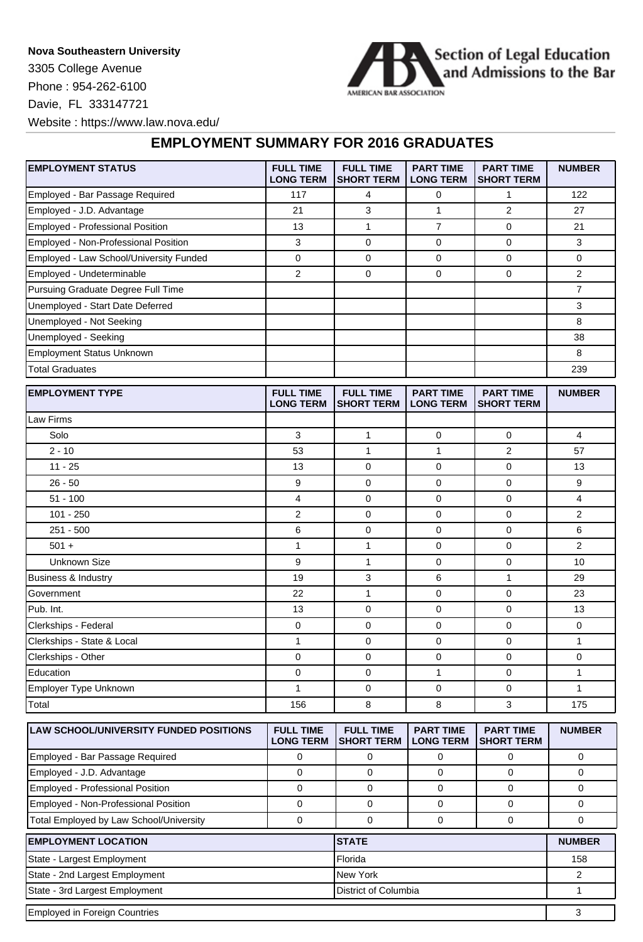## **Nova Southeastern University**

3305 College Avenue Phone : 954-262-6100 Davie, FL 333147721



Website : https://www.law.nova.edu/

## **EMPLOYMENT SUMMARY FOR 2016 GRADUATES**

| <b>EMPLOYMENT STATUS</b>                | <b>FULL TIME</b><br><b>LONG TERM</b> | <b>FULL TIME</b><br>SHORT TERM        | <b>PART TIME</b><br><b>LONG TERM</b> | <b>PART TIME</b><br><b>SHORT TERM</b> | <b>NUMBER</b>  |
|-----------------------------------------|--------------------------------------|---------------------------------------|--------------------------------------|---------------------------------------|----------------|
| Employed - Bar Passage Required         | 117                                  | 4                                     | 0                                    | 1                                     | 122            |
| Employed - J.D. Advantage               | 21                                   | 3                                     | $\mathbf{1}$                         | $\overline{2}$                        | 27             |
| Employed - Professional Position        | 13                                   | $\mathbf{1}$                          | $\overline{7}$                       | $\mathbf 0$                           | 21             |
| Employed - Non-Professional Position    | 3                                    | 0                                     | 0                                    | 0                                     | 3              |
| Employed - Law School/University Funded | 0                                    | 0                                     | 0                                    | 0                                     | 0              |
| Employed - Undeterminable               | 2                                    | 0                                     | 0                                    | $\mathbf 0$                           | 2              |
| Pursuing Graduate Degree Full Time      |                                      |                                       |                                      |                                       | $\overline{7}$ |
| Unemployed - Start Date Deferred        |                                      |                                       |                                      |                                       | 3              |
| Unemployed - Not Seeking                |                                      |                                       |                                      |                                       | 8              |
| Unemployed - Seeking                    |                                      |                                       |                                      |                                       | 38             |
| <b>Employment Status Unknown</b>        |                                      |                                       |                                      |                                       | 8              |
| <b>Total Graduates</b>                  |                                      |                                       |                                      |                                       | 239            |
|                                         |                                      |                                       |                                      |                                       |                |
| <b>EMPLOYMENT TYPE</b>                  | <b>FULL TIME</b><br><b>LONG TERM</b> | <b>FULL TIME</b><br><b>SHORT TERM</b> | <b>PART TIME</b><br><b>LONG TERM</b> | <b>PART TIME</b><br><b>SHORT TERM</b> | <b>NUMBER</b>  |
| Law Firms                               |                                      |                                       |                                      |                                       |                |
| Solo                                    | $\mathsf 3$                          | $\mathbf{1}$                          | $\mathbf 0$                          | $\pmb{0}$                             | $\overline{4}$ |
| $2 - 10$                                | 53                                   | 1                                     | 1                                    | $\overline{2}$                        | 57             |
| $11 - 25$                               | 13                                   | 0                                     | 0                                    | $\mathbf 0$                           | 13             |
| $26 - 50$                               | 9                                    | 0                                     | 0                                    | $\mathbf 0$                           | 9              |
| $51 - 100$                              | 4                                    | 0                                     | 0                                    | 0                                     | 4              |
| $101 - 250$                             | $\overline{c}$                       | 0                                     | 0                                    | 0                                     | 2              |
| $251 - 500$                             | 6                                    | 0                                     | 0                                    | $\mathbf 0$                           | 6              |
| $501 +$                                 | 1                                    | $\mathbf{1}$                          | 0                                    | $\mathbf 0$                           | 2              |
| <b>Unknown Size</b>                     | 9                                    | $\mathbf{1}$                          | 0                                    | $\mathbf 0$                           | 10             |
| <b>Business &amp; Industry</b>          | 19                                   | 3                                     | 6                                    | 1                                     | 29             |
| Government                              | 22                                   | $\mathbf{1}$                          | 0                                    | 0                                     | 23             |
| Pub. Int.                               | 13                                   | 0                                     | 0                                    | $\mathbf 0$                           | 13             |
| Clerkships - Federal                    | 0                                    | 0                                     | 0                                    | $\mathbf 0$                           | 0              |
| Clerkships - State & Local              | 1                                    | 0                                     | 0                                    | 0                                     | $\mathbf{1}$   |
| Clerkships - Other                      | 0                                    | 0                                     | 0                                    | 0                                     | 0              |
| Education                               | 0                                    | 0                                     | 1                                    | 0                                     | 1              |
| Employer Type Unknown                   | 1                                    | 0                                     | 0                                    | $\mathbf 0$                           | 1              |
| Total                                   | 156                                  | 8                                     | 8                                    | 3                                     | 175            |
| LAW SCHOOL/UNIVERSITY FUNDED POSITIONS  | <b>FULL TIME</b><br><b>LONG TERM</b> | <b>FULL TIME</b><br><b>SHORT TERM</b> | <b>PART TIME</b><br><b>LONG TERM</b> | <b>PART TIME</b><br><b>SHORT TERM</b> | <b>NUMBER</b>  |
| Employed - Bar Passage Required         | $\mathbf 0$                          | 0                                     | $\mathbf 0$                          | 0                                     | $\mathbf 0$    |
| Employed - J.D. Advantage               | $\mathbf 0$                          | $\mathbf 0$                           | $\mathbf 0$                          | $\mathbf 0$                           | 0              |
| Employed - Professional Position        | $\mathbf 0$                          | $\mathbf 0$                           | $\mathbf 0$                          | $\mathbf 0$                           | 0              |
| Employed - Non-Professional Position    | $\mathbf 0$                          | $\mathbf 0$                           | 0                                    | 0                                     | 0              |
| Total Employed by Law School/University | $\mathsf 0$                          | 0                                     | $\pmb{0}$                            | $\mathbf 0$                           | 0              |

| <b>EMPLOYMENT LOCATION</b>     | <b>ISTATE</b>        | <b>NUMBER</b> |
|--------------------------------|----------------------|---------------|
| State - Largest Employment     | Florida              | 158           |
| State - 2nd Largest Employment | New York             |               |
| State - 3rd Largest Employment | District of Columbia |               |
| Employed in Foreign Countries  |                      |               |